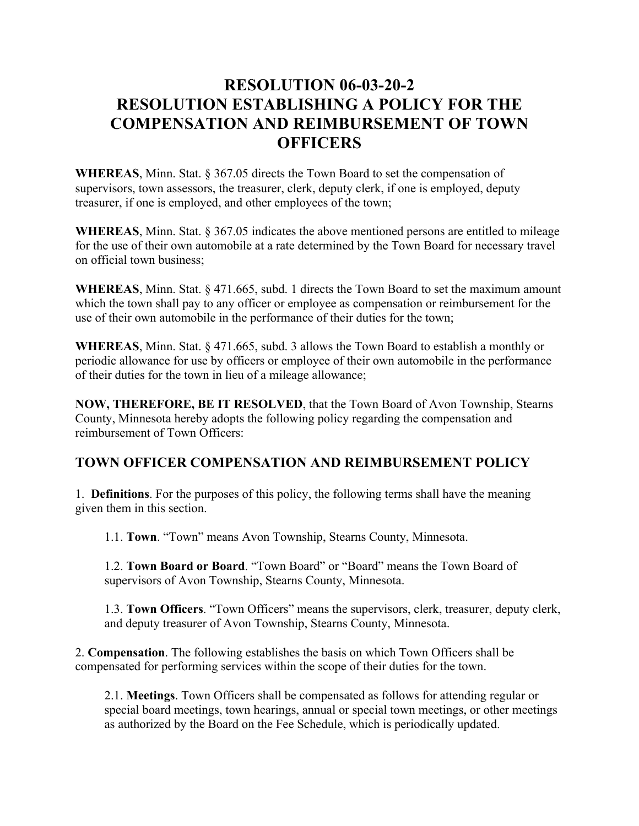## **RESOLUTION 06-03-20-2 RESOLUTION ESTABLISHING A POLICY FOR THE COMPENSATION AND REIMBURSEMENT OF TOWN OFFICERS**

**WHEREAS**, Minn. Stat. § 367.05 directs the Town Board to set the compensation of supervisors, town assessors, the treasurer, clerk, deputy clerk, if one is employed, deputy treasurer, if one is employed, and other employees of the town;

**WHEREAS**, Minn. Stat. § 367.05 indicates the above mentioned persons are entitled to mileage for the use of their own automobile at a rate determined by the Town Board for necessary travel on official town business;

**WHEREAS**, Minn. Stat. § 471.665, subd. 1 directs the Town Board to set the maximum amount which the town shall pay to any officer or employee as compensation or reimbursement for the use of their own automobile in the performance of their duties for the town;

**WHEREAS**, Minn. Stat. § 471.665, subd. 3 allows the Town Board to establish a monthly or periodic allowance for use by officers or employee of their own automobile in the performance of their duties for the town in lieu of a mileage allowance;

**NOW, THEREFORE, BE IT RESOLVED**, that the Town Board of Avon Township, Stearns County, Minnesota hereby adopts the following policy regarding the compensation and reimbursement of Town Officers:

## **TOWN OFFICER COMPENSATION AND REIMBURSEMENT POLICY**

1. **Definitions**. For the purposes of this policy, the following terms shall have the meaning given them in this section.

1.1. **Town**. "Town" means Avon Township, Stearns County, Minnesota.

1.2. **Town Board or Board**. "Town Board" or "Board" means the Town Board of supervisors of Avon Township, Stearns County, Minnesota.

1.3. **Town Officers**. "Town Officers" means the supervisors, clerk, treasurer, deputy clerk, and deputy treasurer of Avon Township, Stearns County, Minnesota.

2. **Compensation**. The following establishes the basis on which Town Officers shall be compensated for performing services within the scope of their duties for the town.

2.1. **Meetings**. Town Officers shall be compensated as follows for attending regular or special board meetings, town hearings, annual or special town meetings, or other meetings as authorized by the Board on the Fee Schedule, which is periodically updated.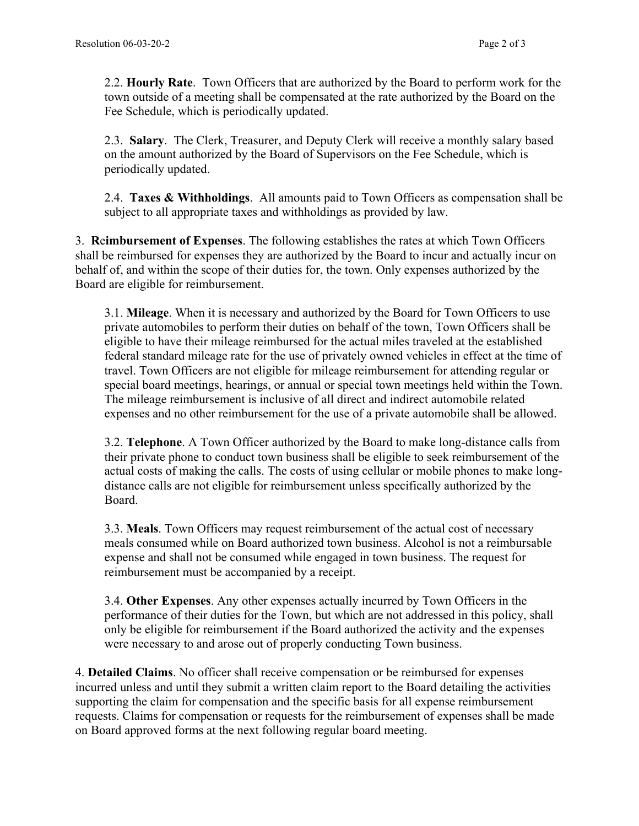2.2. **Hourly Rate**. Town Officers that are authorized by the Board to perform work for the town outside of a meeting shall be compensated at the rate authorized by the Board on the Fee Schedule, which is periodically updated.

2.3. **Salary**. The Clerk, Treasurer, and Deputy Clerk will receive a monthly salary based on the amount authorized by the Board of Supervisors on the Fee Schedule, which is periodically updated.

2.4. **Taxes & Withholdings**. All amounts paid to Town Officers as compensation shall be subject to all appropriate taxes and withholdings as provided by law.

3. **R**e**imbursement of Expenses**. The following establishes the rates at which Town Officers shall be reimbursed for expenses they are authorized by the Board to incur and actually incur on behalf of, and within the scope of their duties for, the town. Only expenses authorized by the Board are eligible for reimbursement.

3.1. **Mileage**. When it is necessary and authorized by the Board for Town Officers to use private automobiles to perform their duties on behalf of the town, Town Officers shall be eligible to have their mileage reimbursed for the actual miles traveled at the established federal standard mileage rate for the use of privately owned vehicles in effect at the time of travel. Town Officers are not eligible for mileage reimbursement for attending regular or special board meetings, hearings, or annual or special town meetings held within the Town. The mileage reimbursement is inclusive of all direct and indirect automobile related expenses and no other reimbursement for the use of a private automobile shall be allowed.

3.2. **Telephone**. A Town Officer authorized by the Board to make long-distance calls from their private phone to conduct town business shall be eligible to seek reimbursement of the actual costs of making the calls. The costs of using cellular or mobile phones to make longdistance calls are not eligible for reimbursement unless specifically authorized by the Board.

3.3. **Meals**. Town Officers may request reimbursement of the actual cost of necessary meals consumed while on Board authorized town business. Alcohol is not a reimbursable expense and shall not be consumed while engaged in town business. The request for reimbursement must be accompanied by a receipt.

3.4. **Other Expenses**. Any other expenses actually incurred by Town Officers in the performance of their duties for the Town, but which are not addressed in this policy, shall only be eligible for reimbursement if the Board authorized the activity and the expenses were necessary to and arose out of properly conducting Town business.

4. **Detailed Claims**. No officer shall receive compensation or be reimbursed for expenses incurred unless and until they submit a written claim report to the Board detailing the activities supporting the claim for compensation and the specific basis for all expense reimbursement requests. Claims for compensation or requests for the reimbursement of expenses shall be made on Board approved forms at the next following regular board meeting.